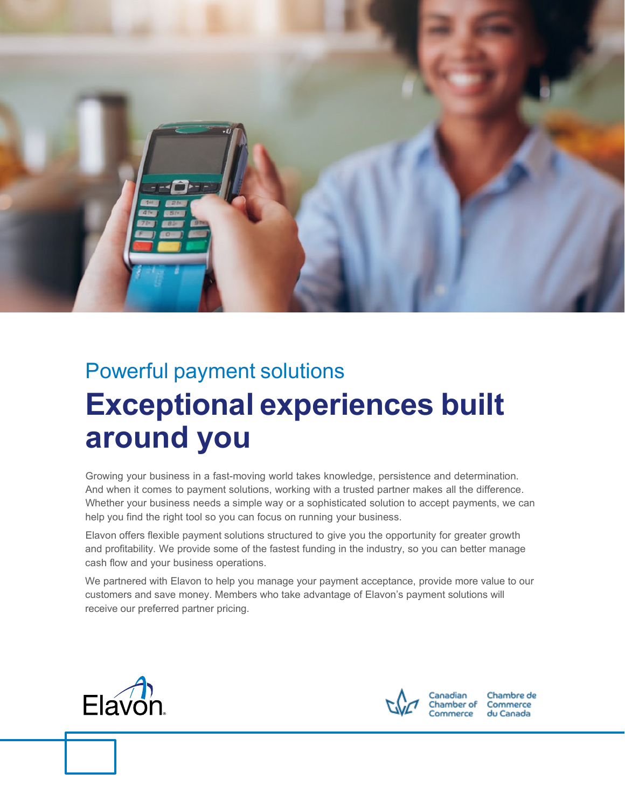

# Powerful payment solutions **Exceptional experiences built around you**

Growing your business in a fast-moving world takes knowledge, persistence and determination. And when it comes to payment solutions, working with a trusted partner makes all the difference. Whether your business needs a simple way or a sophisticated solution to accept payments, we can help you find the right tool so you can focus on running your business.

Elavon offers flexible payment solutions structured to give you the opportunity for greater growth and profitability. We provide some of the fastest funding in the industry, so you can better manage cash flow and your business operations.

We partnered with Elavon to help you manage your payment acceptance, provide more value to our customers and save money. Members who take advantage of Elavon's payment solutions will receive our preferred partner pricing.





Chambre de du Canada